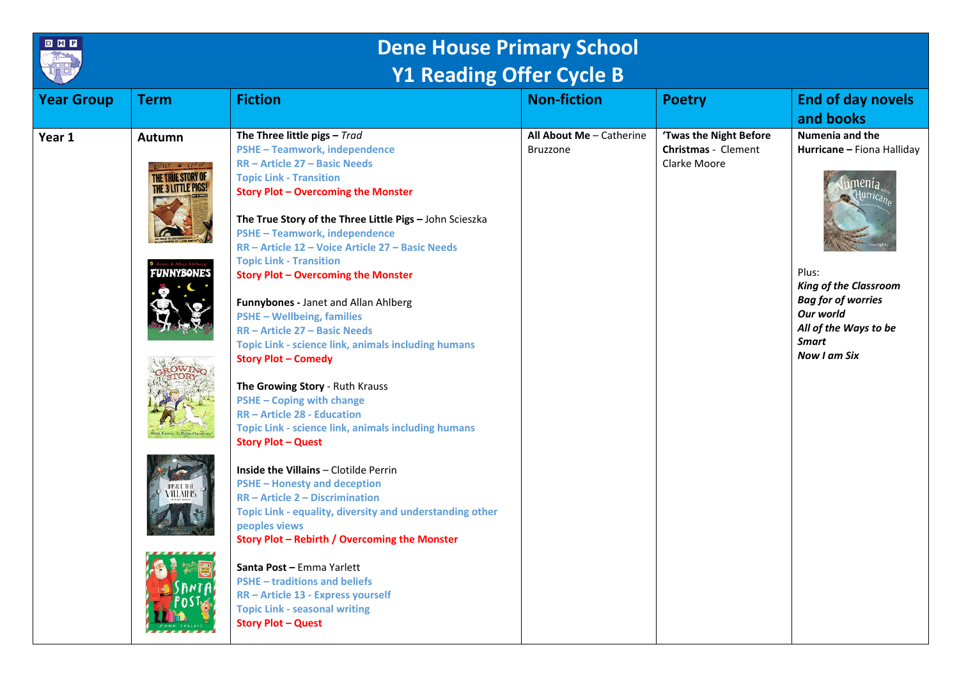

## **Dene House Primary School Y1 Reading Offer Cycle B**

| <b>Year Group</b> | <b>Term</b>                                                                                                                          | <b>Fiction</b>                                                                                                                                                                                                                                                                                                                                                                                                                                                                                                                                                                                                                                                                                                                                                                                                                                                                                                                                                                                                                                                                                                                                                                                                                                                           | <b>Non-fiction</b>                          | <b>Poetry</b>                                                 | <b>End of day novels</b><br>and books                                                                                                                                                                                 |
|-------------------|--------------------------------------------------------------------------------------------------------------------------------------|--------------------------------------------------------------------------------------------------------------------------------------------------------------------------------------------------------------------------------------------------------------------------------------------------------------------------------------------------------------------------------------------------------------------------------------------------------------------------------------------------------------------------------------------------------------------------------------------------------------------------------------------------------------------------------------------------------------------------------------------------------------------------------------------------------------------------------------------------------------------------------------------------------------------------------------------------------------------------------------------------------------------------------------------------------------------------------------------------------------------------------------------------------------------------------------------------------------------------------------------------------------------------|---------------------------------------------|---------------------------------------------------------------|-----------------------------------------------------------------------------------------------------------------------------------------------------------------------------------------------------------------------|
| Year 1            | <b>Autumn</b><br><b>DAILY</b> & WO.<br>THE TRUE STORY OF<br><b>THE 3 LITTLE PIGS!</b><br>FUNNYBONES<br>INSIDE THI<br><b>VILLAINS</b> | The Three little pigs - Trad<br><b>PSHE-Teamwork, independence</b><br><b>RR-Article 27-Basic Needs</b><br><b>Topic Link - Transition</b><br><b>Story Plot - Overcoming the Monster</b><br>The True Story of the Three Little Pigs - John Scieszka<br><b>PSHE-Teamwork, independence</b><br>RR - Article 12 - Voice Article 27 - Basic Needs<br><b>Topic Link - Transition</b><br><b>Story Plot - Overcoming the Monster</b><br>Funnybones - Janet and Allan Ahlberg<br><b>PSHE - Wellbeing, families</b><br><b>RR-Article 27 - Basic Needs</b><br>Topic Link - science link, animals including humans<br><b>Story Plot - Comedy</b><br>The Growing Story - Ruth Krauss<br><b>PSHE - Coping with change</b><br><b>RR-Article 28 - Education</b><br>Topic Link - science link, animals including humans<br><b>Story Plot - Quest</b><br><b>Inside the Villains - Clotilde Perrin</b><br><b>PSHE-Honesty and deception</b><br>$RR - Article 2 - Discrimination$<br>Topic Link - equality, diversity and understanding other<br>peoples views<br>Story Plot - Rebirth / Overcoming the Monster<br>Santa Post - Emma Yarlett<br><b>PSHE-traditions and beliefs</b><br>RR - Article 13 - Express yourself<br><b>Topic Link - seasonal writing</b><br><b>Story Plot - Quest</b> | All About Me - Catherine<br><b>Bruzzone</b> | 'Twas the Night Before<br>Christmas - Clement<br>Clarke Moore | Numenia and the<br>Hurricane - Fiona Halliday<br>menia<br>Hurrican<br>Plus:<br><b>King of the Classroom</b><br><b>Bag for of worries</b><br>Our world<br>All of the Ways to be<br><b>Smart</b><br><b>Now I am Six</b> |